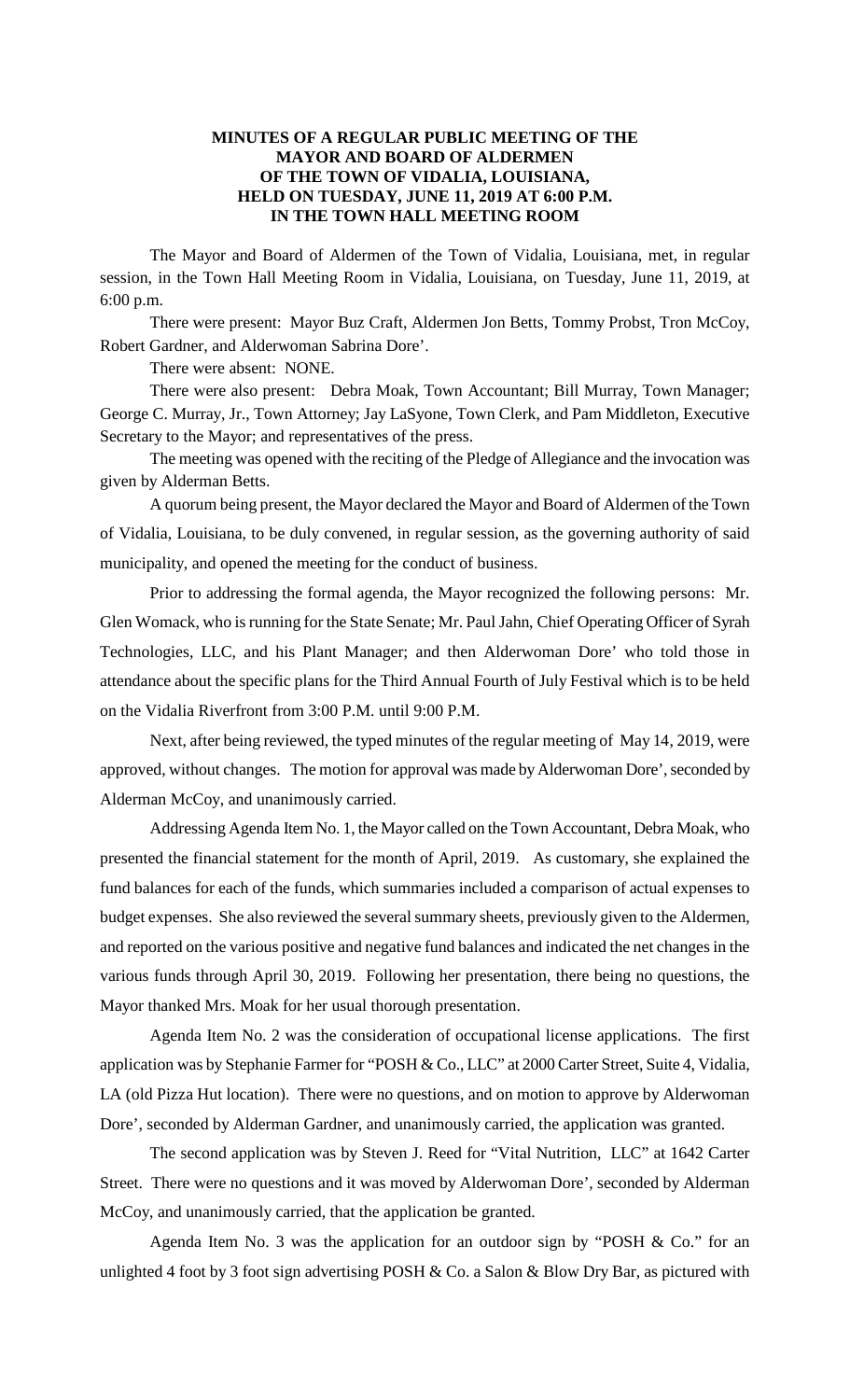## **MINUTES OF A REGULAR PUBLIC MEETING OF THE MAYOR AND BOARD OF ALDERMEN OF THE TOWN OF VIDALIA, LOUISIANA, HELD ON TUESDAY, JUNE 11, 2019 AT 6:00 P.M. IN THE TOWN HALL MEETING ROOM**

The Mayor and Board of Aldermen of the Town of Vidalia, Louisiana, met, in regular session, in the Town Hall Meeting Room in Vidalia, Louisiana, on Tuesday, June 11, 2019, at 6:00 p.m.

There were present: Mayor Buz Craft, Aldermen Jon Betts, Tommy Probst, Tron McCoy, Robert Gardner, and Alderwoman Sabrina Dore'.

There were absent: NONE.

There were also present: Debra Moak, Town Accountant; Bill Murray, Town Manager; George C. Murray, Jr., Town Attorney; Jay LaSyone, Town Clerk, and Pam Middleton, Executive Secretary to the Mayor; and representatives of the press.

The meeting was opened with the reciting of the Pledge of Allegiance and the invocation was given by Alderman Betts.

A quorum being present, the Mayor declared the Mayor and Board of Aldermen of the Town of Vidalia, Louisiana, to be duly convened, in regular session, as the governing authority of said municipality, and opened the meeting for the conduct of business.

Prior to addressing the formal agenda, the Mayor recognized the following persons: Mr. Glen Womack, who is running for the State Senate; Mr. Paul Jahn, Chief Operating Officer of Syrah Technologies, LLC, and his Plant Manager; and then Alderwoman Dore' who told those in attendance about the specific plans for the Third Annual Fourth of July Festival which is to be held on the Vidalia Riverfront from 3:00 P.M. until 9:00 P.M.

Next, after being reviewed, the typed minutes of the regular meeting of May 14, 2019, were approved, without changes. The motion for approval was made by Alderwoman Dore', seconded by Alderman McCoy, and unanimously carried.

Addressing Agenda Item No. 1, the Mayor called on the Town Accountant, Debra Moak, who presented the financial statement for the month of April, 2019. As customary, she explained the fund balances for each of the funds, which summaries included a comparison of actual expenses to budget expenses. She also reviewed the several summary sheets, previously given to the Aldermen, and reported on the various positive and negative fund balances and indicated the net changes in the various funds through April 30, 2019. Following her presentation, there being no questions, the Mayor thanked Mrs. Moak for her usual thorough presentation.

Agenda Item No. 2 was the consideration of occupational license applications. The first application was by Stephanie Farmer for "POSH & Co., LLC" at 2000 Carter Street, Suite 4, Vidalia, LA (old Pizza Hut location). There were no questions, and on motion to approve by Alderwoman Dore', seconded by Alderman Gardner, and unanimously carried, the application was granted.

The second application was by Steven J. Reed for "Vital Nutrition, LLC" at 1642 Carter Street. There were no questions and it was moved by Alderwoman Dore', seconded by Alderman McCoy, and unanimously carried, that the application be granted.

Agenda Item No. 3 was the application for an outdoor sign by "POSH & Co." for an unlighted 4 foot by 3 foot sign advertising POSH & Co. a Salon & Blow Dry Bar, as pictured with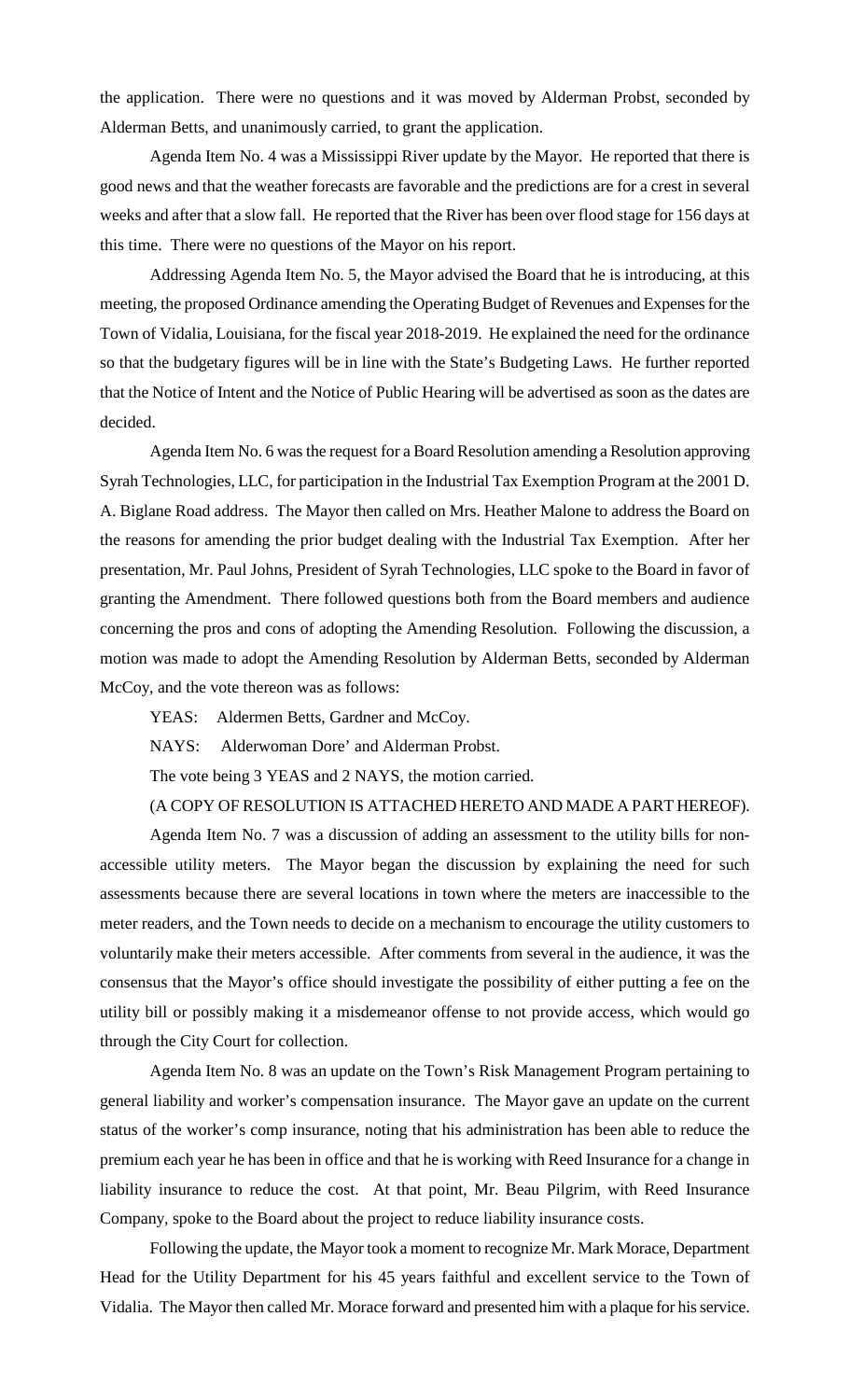the application. There were no questions and it was moved by Alderman Probst, seconded by Alderman Betts, and unanimously carried, to grant the application.

Agenda Item No. 4 was a Mississippi River update by the Mayor. He reported that there is good news and that the weather forecasts are favorable and the predictions are for a crest in several weeks and after that a slow fall. He reported that the River has been over flood stage for 156 days at this time. There were no questions of the Mayor on his report.

Addressing Agenda Item No. 5, the Mayor advised the Board that he is introducing, at this meeting, the proposed Ordinance amending the Operating Budget of Revenues and Expenses for the Town of Vidalia, Louisiana, for the fiscal year 2018-2019. He explained the need for the ordinance so that the budgetary figures will be in line with the State's Budgeting Laws. He further reported that the Notice of Intent and the Notice of Public Hearing will be advertised as soon as the dates are decided.

Agenda Item No. 6 was the request for a Board Resolution amending a Resolution approving Syrah Technologies, LLC, for participation in the Industrial Tax Exemption Program at the 2001 D. A. Biglane Road address. The Mayor then called on Mrs. Heather Malone to address the Board on the reasons for amending the prior budget dealing with the Industrial Tax Exemption. After her presentation, Mr. Paul Johns, President of Syrah Technologies, LLC spoke to the Board in favor of granting the Amendment. There followed questions both from the Board members and audience concerning the pros and cons of adopting the Amending Resolution. Following the discussion, a motion was made to adopt the Amending Resolution by Alderman Betts, seconded by Alderman McCoy, and the vote thereon was as follows:

YEAS: Aldermen Betts, Gardner and McCoy.

NAYS: Alderwoman Dore' and Alderman Probst.

The vote being 3 YEAS and 2 NAYS, the motion carried.

(A COPY OF RESOLUTION IS ATTACHED HERETO AND MADE A PART HEREOF).

Agenda Item No. 7 was a discussion of adding an assessment to the utility bills for nonaccessible utility meters. The Mayor began the discussion by explaining the need for such assessments because there are several locations in town where the meters are inaccessible to the meter readers, and the Town needs to decide on a mechanism to encourage the utility customers to voluntarily make their meters accessible. After comments from several in the audience, it was the consensus that the Mayor's office should investigate the possibility of either putting a fee on the utility bill or possibly making it a misdemeanor offense to not provide access, which would go through the City Court for collection.

Agenda Item No. 8 was an update on the Town's Risk Management Program pertaining to general liability and worker's compensation insurance. The Mayor gave an update on the current status of the worker's comp insurance, noting that his administration has been able to reduce the premium each year he has been in office and that he is working with Reed Insurance for a change in liability insurance to reduce the cost. At that point, Mr. Beau Pilgrim, with Reed Insurance Company, spoke to the Board about the project to reduce liability insurance costs.

Following the update, the Mayor took a moment to recognize Mr. Mark Morace, Department Head for the Utility Department for his 45 years faithful and excellent service to the Town of Vidalia. The Mayor then called Mr. Morace forward and presented him with a plaque for his service.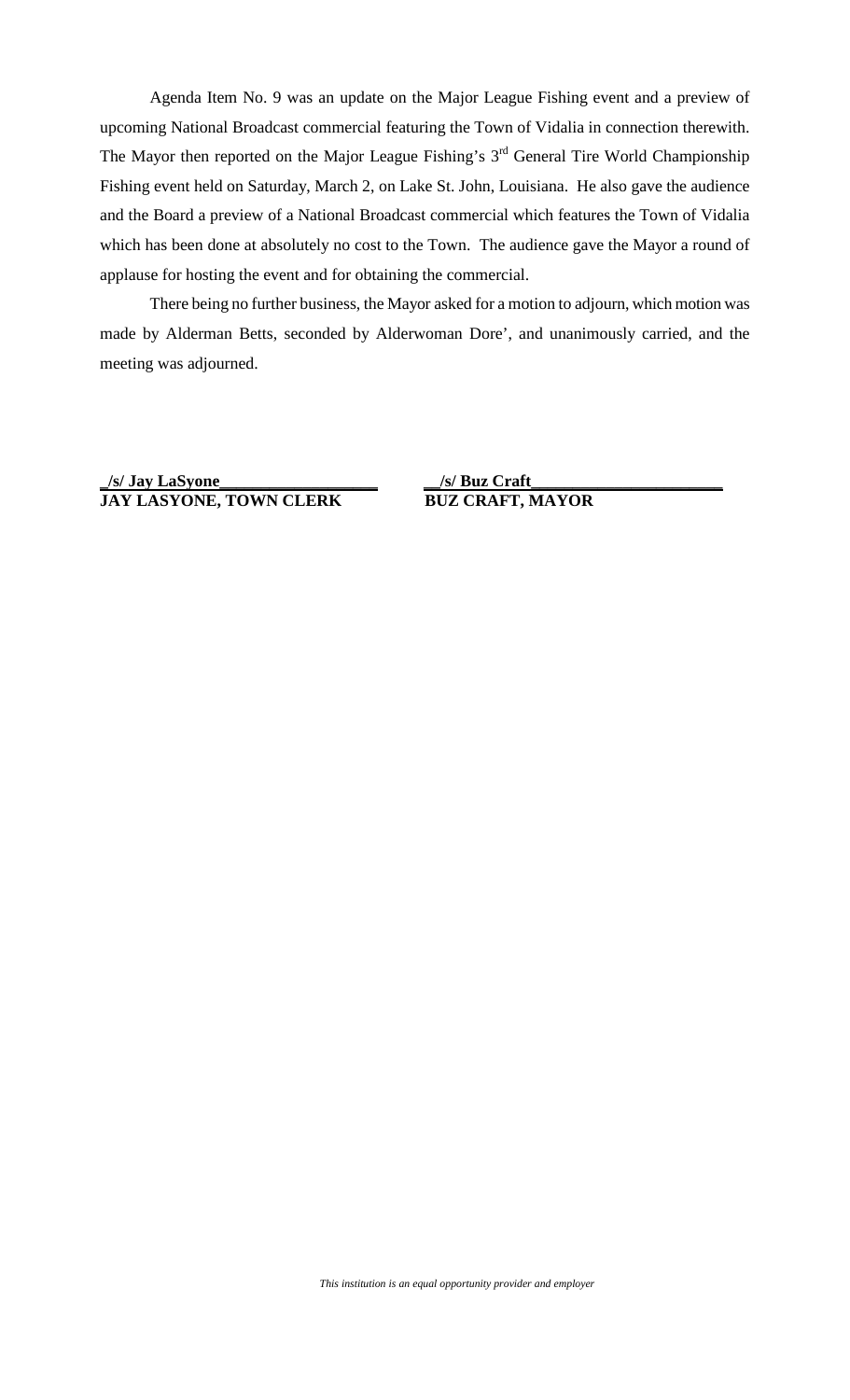Agenda Item No. 9 was an update on the Major League Fishing event and a preview of upcoming National Broadcast commercial featuring the Town of Vidalia in connection therewith. The Mayor then reported on the Major League Fishing's 3<sup>rd</sup> General Tire World Championship Fishing event held on Saturday, March 2, on Lake St. John, Louisiana. He also gave the audience and the Board a preview of a National Broadcast commercial which features the Town of Vidalia which has been done at absolutely no cost to the Town. The audience gave the Mayor a round of applause for hosting the event and for obtaining the commercial.

There being no further business, the Mayor asked for a motion to adjourn, which motion was made by Alderman Betts, seconded by Alderwoman Dore', and unanimously carried, and the meeting was adjourned.

**\_/s/ Jay LaSyone\_\_\_\_\_\_\_\_\_\_\_\_\_\_\_\_\_\_\_ JAY LASYONE, TOWN CLERK BUZ CRAFT, MAYOR**

**\_\_/s/ Buz Craft\_\_\_\_\_\_\_\_\_\_\_\_\_\_\_\_\_\_\_\_\_\_\_**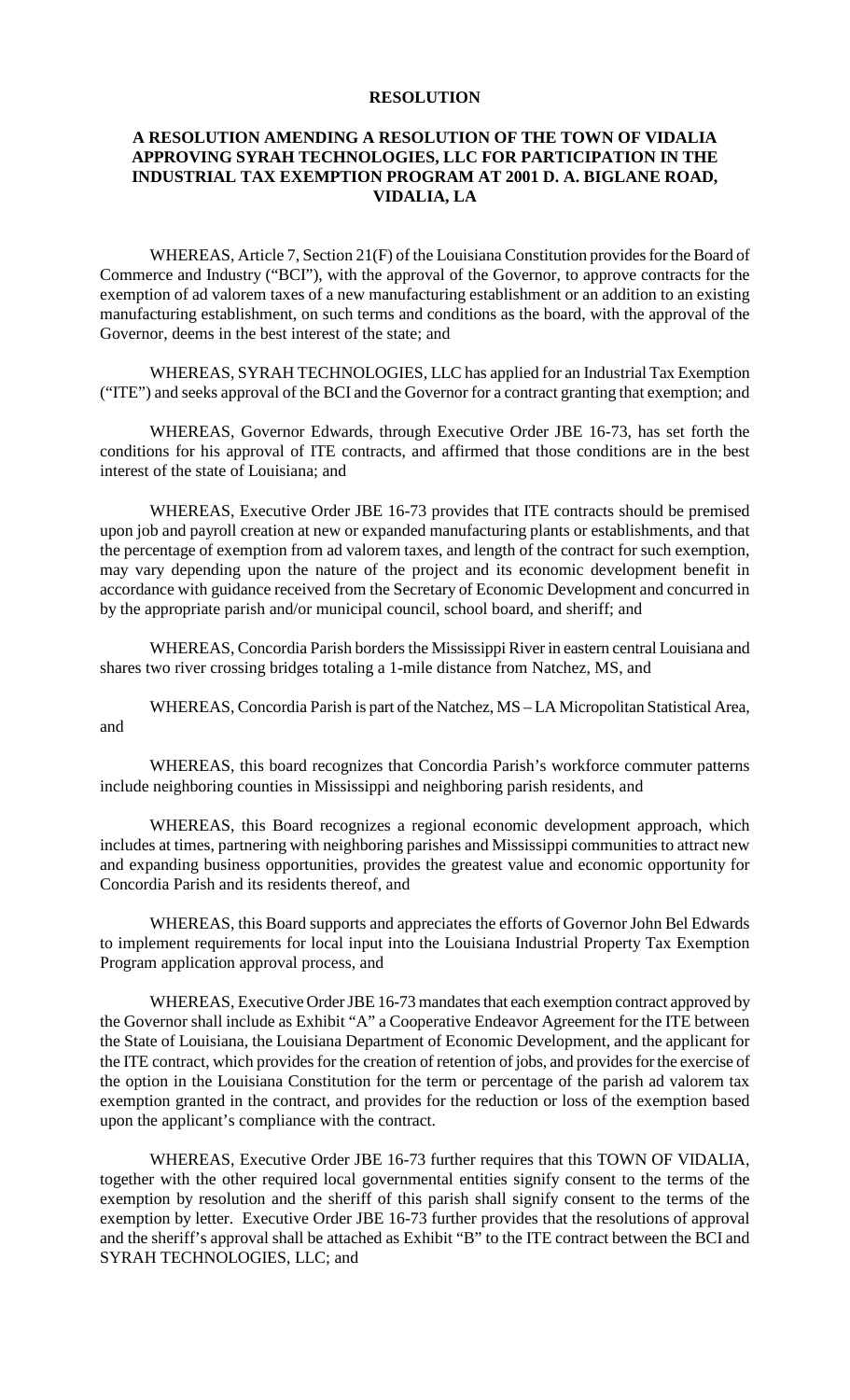## **RESOLUTION**

## **A RESOLUTION AMENDING A RESOLUTION OF THE TOWN OF VIDALIA APPROVING SYRAH TECHNOLOGIES, LLC FOR PARTICIPATION IN THE INDUSTRIAL TAX EXEMPTION PROGRAM AT 2001 D. A. BIGLANE ROAD, VIDALIA, LA**

WHEREAS, Article 7, Section 21(F) of the Louisiana Constitution provides for the Board of Commerce and Industry ("BCI"), with the approval of the Governor, to approve contracts for the exemption of ad valorem taxes of a new manufacturing establishment or an addition to an existing manufacturing establishment, on such terms and conditions as the board, with the approval of the Governor, deems in the best interest of the state; and

WHEREAS, SYRAH TECHNOLOGIES, LLC has applied for an Industrial Tax Exemption ("ITE") and seeks approval of the BCI and the Governor for a contract granting that exemption; and

WHEREAS, Governor Edwards, through Executive Order JBE 16-73, has set forth the conditions for his approval of ITE contracts, and affirmed that those conditions are in the best interest of the state of Louisiana; and

WHEREAS, Executive Order JBE 16-73 provides that ITE contracts should be premised upon job and payroll creation at new or expanded manufacturing plants or establishments, and that the percentage of exemption from ad valorem taxes, and length of the contract for such exemption, may vary depending upon the nature of the project and its economic development benefit in accordance with guidance received from the Secretary of Economic Development and concurred in by the appropriate parish and/or municipal council, school board, and sheriff; and

WHEREAS, Concordia Parish borders the Mississippi River in eastern central Louisiana and shares two river crossing bridges totaling a 1-mile distance from Natchez, MS, and

WHEREAS, Concordia Parish is part of the Natchez, MS – LA Micropolitan Statistical Area, and

WHEREAS, this board recognizes that Concordia Parish's workforce commuter patterns include neighboring counties in Mississippi and neighboring parish residents, and

WHEREAS, this Board recognizes a regional economic development approach, which includes at times, partnering with neighboring parishes and Mississippi communities to attract new and expanding business opportunities, provides the greatest value and economic opportunity for Concordia Parish and its residents thereof, and

WHEREAS, this Board supports and appreciates the efforts of Governor John Bel Edwards to implement requirements for local input into the Louisiana Industrial Property Tax Exemption Program application approval process, and

WHEREAS, Executive Order JBE 16-73 mandates that each exemption contract approved by the Governor shall include as Exhibit "A" a Cooperative Endeavor Agreement for the ITE between the State of Louisiana, the Louisiana Department of Economic Development, and the applicant for the ITE contract, which provides for the creation of retention of jobs, and provides for the exercise of the option in the Louisiana Constitution for the term or percentage of the parish ad valorem tax exemption granted in the contract, and provides for the reduction or loss of the exemption based upon the applicant's compliance with the contract.

WHEREAS, Executive Order JBE 16-73 further requires that this TOWN OF VIDALIA, together with the other required local governmental entities signify consent to the terms of the exemption by resolution and the sheriff of this parish shall signify consent to the terms of the exemption by letter. Executive Order JBE 16-73 further provides that the resolutions of approval and the sheriff's approval shall be attached as Exhibit "B" to the ITE contract between the BCI and SYRAH TECHNOLOGIES, LLC; and